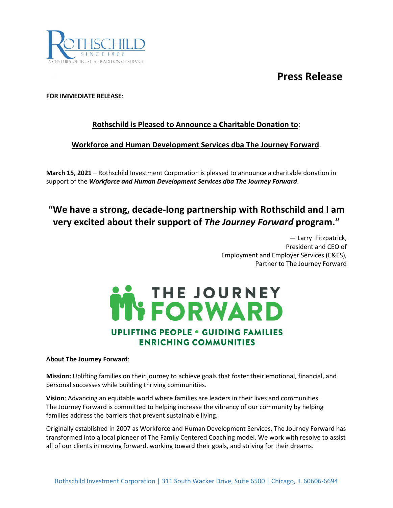## **Press Release**



### **FOR IMMEDIATE RELEASE**:

### **Rothschild is Pleased to Announce a Charitable Donation to**:

### **Workforce and Human Development Services dba The Journey Forward**.

**March 15, 2021** – Rothschild Investment Corporation is pleased to announce a charitable donation in support of the *Workforce and Human Development Services dba The Journey Forward*.

## **"We have a strong, decade-long partnership with Rothschild and I am very excited about their support of** *The Journey Forward* **program."**

**—** Larry Fitzpatrick, President and CEO of Employment and Employer Services (E&ES), Partner to The Journey Forward



#### **About The Journey Forward**:

**Mission:** Uplifting families on their journey to achieve goals that foster their emotional, financial, and personal successes while building thriving communities.

**Vision**: Advancing an equitable world where families are leaders in their lives and communities. The Journey Forward is committed to helping increase the vibrancy of our community by helping families address the barriers that prevent sustainable living.

Originally established in 2007 as Workforce and Human Development Services, The Journey Forward has transformed into a local pioneer of The Family Centered Coaching model. We work with resolve to assist all of our clients in moving forward, working toward their goals, and striving for their dreams.